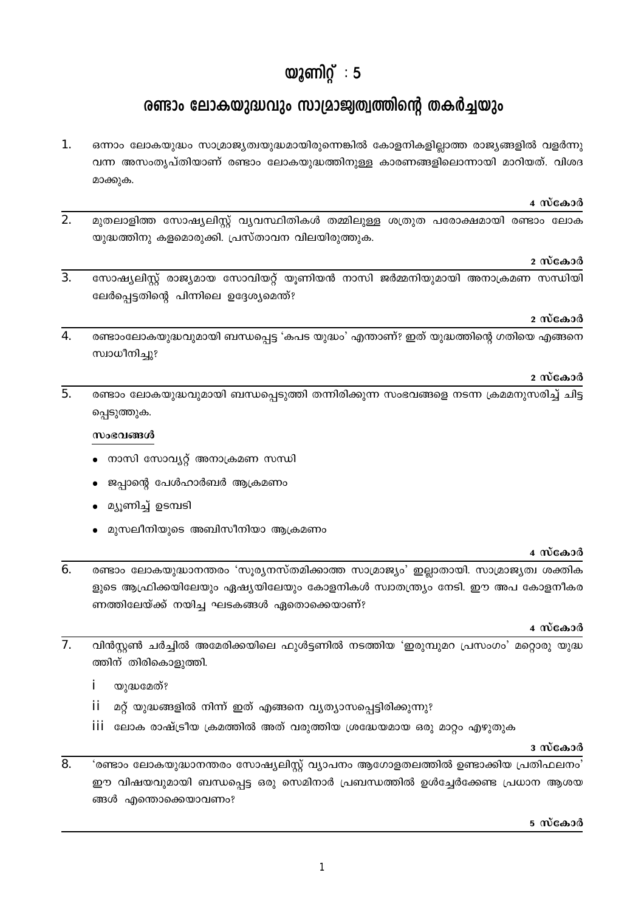# യുണിറ്റ്: 5

# രണ്ടാം ലോകയുദ്ധവും സാമ്രാജ്വത്വത്തിന്റെ തകർച്ചയും

1. ഒന്നാം ലോകയുദ്ധം സാമ്രാജ്യത്വയുദ്ധമായിരുന്നെങ്കിൽ കോളനികളില്ലാത്ത രാജ്യങ്ങളിൽ വളർന്നു വന്ന അസംതൃപ്തിയാണ് രണ്ടാം ലോകയുദ്ധത്തിനുള്ള കാരണങ്ങളിലൊന്നായി മാറിയത്. വിശദ മാക്കുക.

#### 4 സ്കോർ

 $\overline{2}$ . മുതലാളിത്ത സോഷ്യലിസ്റ്റ് വ്യവസ്ഥിതികൾ തമ്മിലുള്ള ശത്രുത പരോക്ഷമായി രണ്ടാം ലോക യുദ്ധത്തിനു കളമൊരുക്കി. പ്രസ്താവന വിലയിരുത്തുക.

#### 2 സ്കോർ

 $3.$ സോഷ്യലിസ്റ്റ് രാജ്യമായ സോവിയറ്റ് യൂണിയൻ നാസി ജർമ്മനിയുമായി അനാക്രമണ സന്ധിയി ലേർപ്പെട്ടതിന്റെ പിന്നിലെ ഉദ്ദേശ്യമെന്ത്?

#### 2 സ്കോർ

 $\overline{4}$ . രണ്ടാംലോകയുദ്ധവുമായി ബന്ധപ്പെട്ട 'കപട യുദ്ധം' എന്താണ്? ഇത് യുദ്ധത്തിന്റെ ഗതിയെ എങ്ങനെ സ്വാധീനിച്ചു?

#### 2 സ്കോർ

 $5<sub>1</sub>$ രണ്ടാം ലോകയുദ്ധവുമായി ബന്ധപ്പെടുത്തി തന്നിരിക്കുന്ന സംഭവങ്ങളെ നടന്ന ക്രമമനുസരിച്ച് ചിട്ട പ്പെടുത്തുക.

#### സംഭവങ്ങൾ

- നാസി സോവ്യറ്റ് അനാക്രമണ സന്ധി
- ജപ്പാന്റെ പേൾഹാർബർ ആക്രമണം
- മ്യൂണിച്ച് ഉടമ്പടി
- മുസലീനിയുടെ അബിസീനിയാ ആക്രമണം

#### 4 സ്കോർ

 $6.$ രണ്ടാം ലോകയുദ്ധാനന്തരം 'സൂര്യനസ്തമിക്കാത്ത സാമ്രാജ്യം' ഇല്ലാതായി. സാമ്രാജ്യത്വ ശക്തിക ളുടെ ആഫ്രിക്കയിലേയും ഏഷ്യയിലേയും കോളനികൾ സ്വാതന്ത്ര്യം നേടി. ഈ അപ കോളനീകര ണത്തിലേയ്ക്ക് നയിച്ച ഘടകങ്ങൾ ഏതൊക്കെയാണ്?

- $\overline{7}$ . വിൻസ്റ്റൺ ചർച്ചിൽ അമേരിക്കയിലെ ഫുൾട്ടണിൽ നടത്തിയ 'ഇരുമ്പുമറ പ്രസംഗം' മറ്റൊരു യുദ്ധ ത്തിന് തിരികൊളുത്തി.
	- i യുദ്ധമേത്?
	- ii മറ്റ് യുദ്ധങ്ങളിൽ നിന്ന് ഇത് എങ്ങനെ വ്യത്യാസപ്പെട്ടിരിക്കുന്നു?
	- iii ലോക രാഷ്ട്രീയ ക്രമത്തിൽ അത് വരുത്തിയ ശ്രദ്ധേയമായ ഒരു മാറ്റം എഴുതുക

#### ദ സ്കോർ

 $\overline{8}$ . 'രണ്ടാം ലോകയുദ്ധാനന്തരം സോഷ്യലിസ്റ്റ് വ്യാപനം ആഗോളതലത്തിൽ ഉണ്ടാക്കിയ പ്രതിഫലനം' ഈ വിഷയവുമായി ബന്ധപ്പെട്ട ഒരു സെമിനാർ പ്രബന്ധത്തിൽ ഉൾച്ചേർക്കേണ്ട പ്രധാന ആശയ ങ്ങൾ എന്തൊക്കെയാവണം?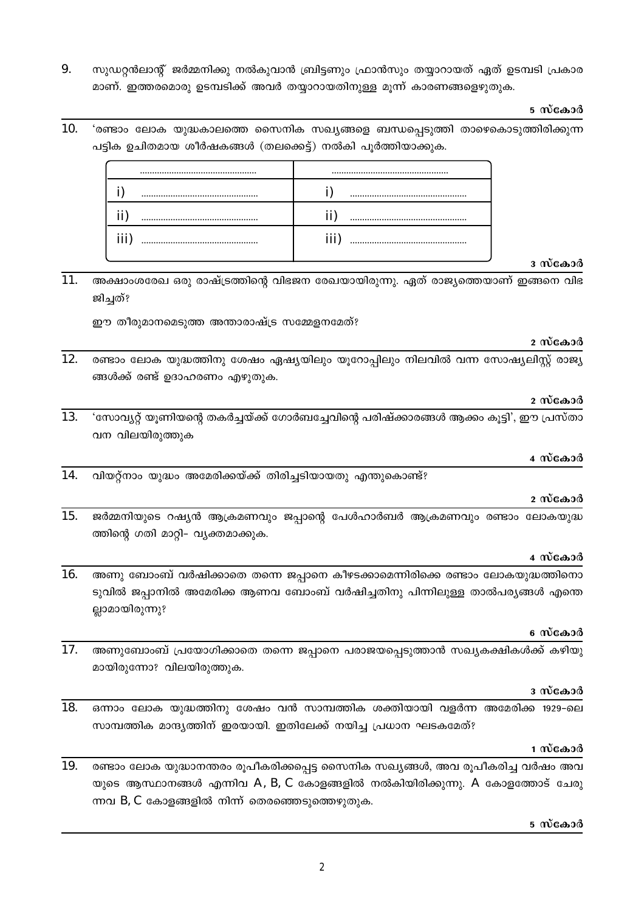9. സുഡറ്റൻലാന്റ് ജർമ്മനിക്കു നൽകുവാൻ ബ്രിട്ടണും ഫ്രാൻസും തയ്യാറായത് ഏത് ഉടമ്പടി പ്രകാര മാണ്. ഇത്തരമൊരു ഉടമ്പടിക്ക് അവർ തയ്യാറായതിനുള്ള മൂന്ന് കാരണങ്ങളെഴുതുക.

#### 5 സ്കോർ

 $10.$ 'രണ്ടാം ലോക യുദ്ധകാലത്തെ സൈനിക സഖ്യങ്ങളെ ബന്ധപ്പെടുത്തി താഴെകൊടുത്തിരിക്കുന്ന പട്ടിക ഉചിതമായ ശീർഷകങ്ങൾ (തലക്കെട്ട്) നൽകി പൂർത്തിയാക്കുക.

| ш |  |
|---|--|

### ദ സ്കോർ

 $11.$ അക്ഷാംശരേഖ ഒരു രാഷ്ട്രത്തിന്റെ വിഭജന രേഖയായിരുന്നു. ഏത് രാജ്യത്തെയാണ് ഇങ്ങനെ വിഭ ജിച്ചത്?

ഈ തീരുമാനമെടുത്ത അന്താരാഷ്ട്ര സമ്മേളനമേത്?

#### 2 സ്കോർ

12. രണ്ടാം ലോക യുദ്ധത്തിനു ശേഷം ഏഷ്യയിലും യൂറോപ്പിലും നിലവിൽ വന്ന സോഷ്യലിസ്റ്റ് രാജ്യ ങ്ങൾക്ക് രണ്ട് ഉദാഹരണം എഴുതുക.

#### 2 സ്കോർ

13. 'സോവ്യറ്റ് യൂണിയന്റെ തകർച്ചയ്ക്ക് ഗോർബച്ചേവിന്റെ പരിഷ്ക്കാരങ്ങൾ ആക്കം കൂട്ടി', ഈ പ്രസ്താ വന വിലയിരുത്തുക

#### 4 സ്കോർ

14. വിയറ്റ്നാം യുദ്ധം അമേരിക്കയ്ക്ക് തിരിച്ചടിയായതു എന്തുകൊണ്ട്?

# 2 സ്കോർ

15. ജർമ്മനിയുടെ റഷ്യൻ ആക്രമണവും ജപ്പാന്റെ പേൾഹാർബർ ആക്രമണവും രണ്ടാം ലോകയുദ്ധ ത്തിന്റെ ഗതി മാറ്റി- വ്യക്തമാക്കുക.

## 4 സ്കോർ

 $16.$ അണു ബോംബ് വർഷിക്കാതെ തന്നെ ജപ്പാനെ കീഴടക്കാമെന്നിരിക്കെ രണ്ടാം ലോകയുദ്ധത്തിനൊ ടുവിൽ ജപ്പാനിൽ അമേരിക്ക ആണവ ബോംബ് വർഷിച്ചതിനു പിന്നിലുള്ള താൽപര്യങ്ങൾ എന്തെ ല്ലാമായിരുന്നു?

# 6 സ്കോർ

17. അണുബോംബ് പ്രയോഗിക്കാതെ തന്നെ ജപ്പാനെ പരാജയപ്പെടുത്താൻ സഖ്യകക്ഷികൾക്ക് കഴിയു മായിരുന്നോ? വിലയിരുത്തുക.

#### ദ സ്കോർ

18. ഒന്നാം ലോക യൂദ്ധത്തിനു ശേഷം വൻ സാമ്പത്തിക ശക്തിയായി വളർന്ന അമേരിക്ക 1929-ലെ സാമ്പത്തിക മാന്ദ്യത്തിന് ഇരയായി. ഇതിലേക്ക് നയിച്ച പ്രധാന ഘടകമേത്?

#### 1 സ്കോർ

 $\overline{19}$ . രണ്ടാം ലോക യുദ്ധാനന്തരം രൂപീകരിക്കപ്പെട്ട സൈനിക സഖ്യങ്ങൾ, അവ രൂപീകരിച്ച വർഷം അവ യുടെ ആസ്ഥാനങ്ങൾ എന്നിവ A, B, C കോളങ്ങളിൽ നൽകിയിരിക്കുന്നു. A കോളത്തോട് ചേരു ന്നവ B, C കോളങ്ങളിൽ നിന്ന് തെരഞ്ഞെടുത്തെഴുതുക.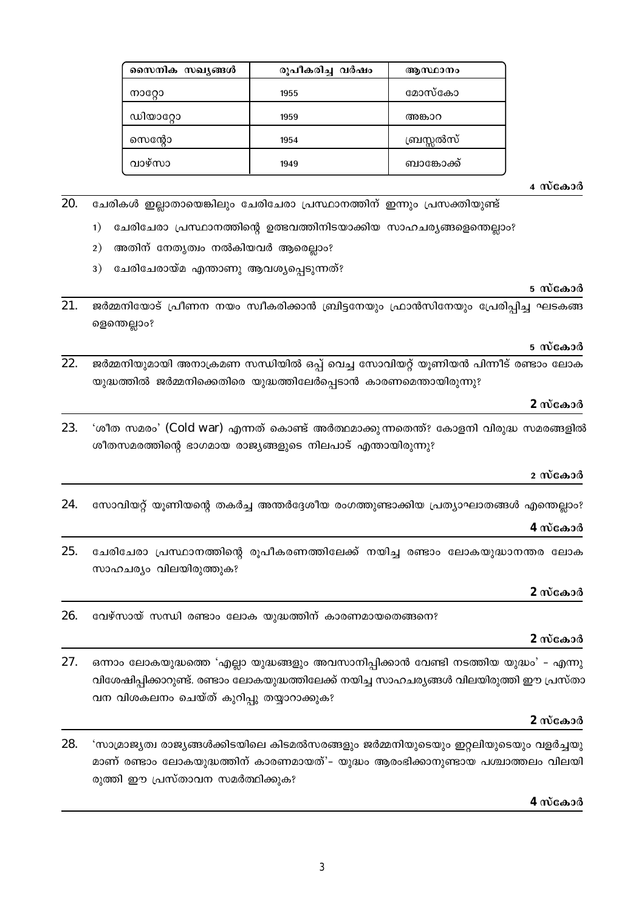| സൈനിക സഖ്യങ്ങൾ | രൂപീകരിച്ച വർഷം | ആസ്ഥാനം    |
|----------------|-----------------|------------|
| നാറോ           | 1955            | മോസ്കോ     |
| ന്വതാറോ        | 1959            | അങ്കാറ     |
| സെന്റോ         | 1954            | ബ്രസ്സൽസ്  |
| വാഴ്സാ         | 1949            | ബാങ്കോക്ക് |

4 സ്കോർ

5 സ്കോർ

5 സ്കോർ

- 20. ചേരികൾ ഇല്ലാതായെങ്കിലും ചേരിചേരാ പ്രസ്ഥാനത്തിന് ഇന്നും പ്രസക്തിയുണ്ട്
	- 1) ചേരിചേരാ പ്രസ്ഥാനത്തിന്റെ ഉത്ഭവത്തിനിടയാക്കിയ സാഹചര്യങ്ങളെന്തെല്ലാം?
	- 2) അതിന് നേതൃത്വം നൽകിയവർ ആരെല്ലാം?
	- 3) ചേരിചേരായ്മ എന്താണു ആവശ്യപ്പെടുന്നത്?

#### $21$ ജർമ്മനിയോട് പ്രീണന നയം സ്വീകരിക്കാൻ ബ്രിട്ടനേയും ഫ്രാൻസിനേയും പ്രേരിപ്പിച്ച ഘടകങ്ങ ളെന്തെല്ലാം?

 $22.$ ജർമ്മനിയുമായി അനാക്രമണ സന്ധിയിൽ ഒപ്പ് വെച്ച സോവിയറ്റ് യൂണിയൻ പിന്നീട് രണ്ടാം ലോക യുദ്ധത്തിൽ ജർമ്മനിക്കെതിരെ യുദ്ധത്തിലേർപ്പെടാൻ കാരണമെന്തായിരുന്നു?

#### 2 സ്കോർ

'ശീത സമരം' (Cold war) എന്നത് കൊണ്ട് അർത്ഥമാക്കുന്നതെന്ത്? കോളനി വിരുദ്ധ സമരങ്ങളിൽ 23. ശീതസമരത്തിന്റെ ഭാഗമായ രാജ്യങ്ങളുടെ നിലപാട് എന്തായിരുന്നു?

#### 2 സ്കോർ

സോവിയറ്റ് യൂണിയന്റെ തകർച്ച അന്തർദ്ദേശീയ രംഗത്തുണ്ടാക്കിയ പ്രത്യാഘാതങ്ങൾ എന്തെല്ലാം? 24.

# 4 സ്കോർ

25. ചേരിചേരാ പ്രസ്ഥാനത്തിന്റെ രൂപീകരണത്തിലേക്ക് നയിച്ച രണ്ടാം ലോകയുദ്ധാനന്തര ലോക സാഹചര്യം വിലയിരുത്തുക?

# 2 സ്കോർ

26. വേഴ്സായ് സന്ധി രണ്ടാം ലോക യുദ്ധത്തിന് കാരണമായതെങ്ങനെ?

# 2 സ്കോർ

27. ഒന്നാം ലോകയുദ്ധത്തെ 'എല്ലാ യുദ്ധങ്ങളും അവസാനിപ്പിക്കാൻ വേണ്ടി നടത്തിയ യുദ്ധം' – എന്നു വിശേഷിപ്പിക്കാറുണ്ട്. രണ്ടാം ലോകയുദ്ധത്തിലേക്ക് നയിച്ച സാഹചര്യങ്ങൾ വിലയിരുത്തി ഈ പ്രസ്താ വന വിശകലനം ചെയ്ത് കുറിപ്പു തയ്യാറാക്കുക?

#### 2 സ്കോർ

28. 'സാമ്രാജ്യത്വ രാജ്യങ്ങൾക്കിടയിലെ കിടമൽസരങ്ങളും ജർമ്മനിയുടെയും ഇറ്റലിയുടെയും വളർച്ചയു മാണ് രണ്ടാം ലോകയുദ്ധത്തിന് കാരണമായത്'– യുദ്ധം ആരംഭിക്കാനുണ്ടായ പശ്ചാത്തലം വിലയി രുത്തി ഈ പ്രസ്താവന സമർത്ഥിക്കുക?